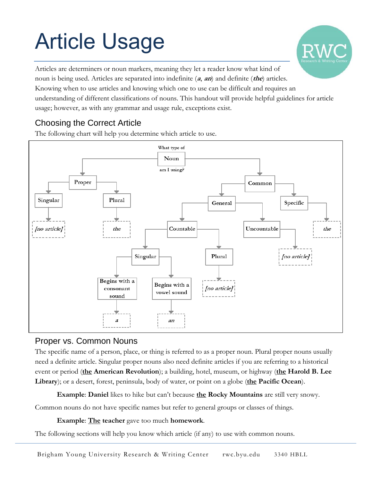# Article Usage

Articles are determiners or noun markers, meaning they let a reader know what kind of noun is being used. Articles are separated into indefinite (**a**, **an**) and definite (**the**) articles. Knowing when to use articles and knowing which one to use can be difficult and requires an understanding of different classifications of nouns. This handout will provide helpful guidelines for article usage; however, as with any grammar and usage rule, exceptions exist.

## Choosing the Correct Article

The following chart will help you determine which article to use.



## Proper vs. Common Nouns

The specific name of a person, place, or thing is referred to as a proper noun. Plural proper nouns usually need a definite article. Singular proper nouns also need definite articles if you are referring to a historical event or period (**the American Revolution**); a building, hotel, museum, or highway (**the Harold B. Lee Library**); or a desert, forest, peninsula, body of water, or point on a globe (**the Pacific Ocean**).

**Example**: **Daniel** likes to hike but can't because **the Rocky Mountains** are still very snowy.

Common nouns do not have specific names but refer to general groups or classes of things.

#### **Example**: **The teacher** gave too much **homework**.

The following sections will help you know which article (if any) to use with common nouns.